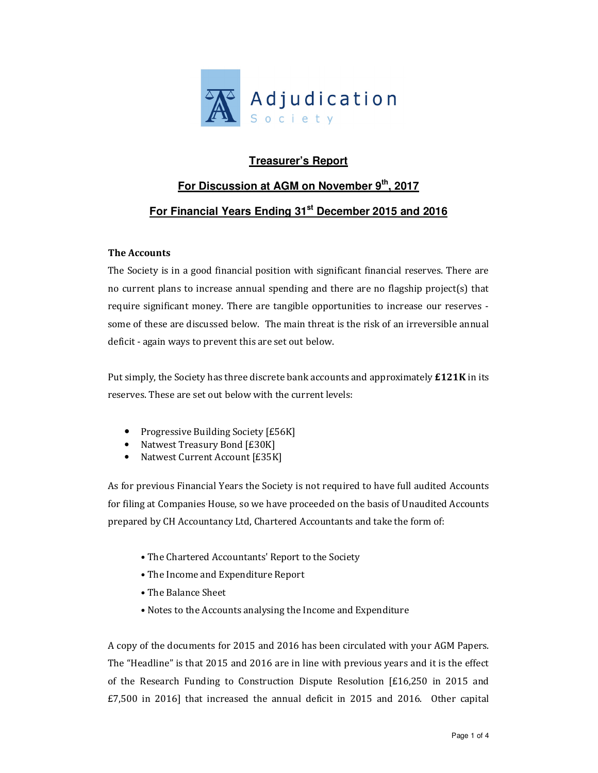

# **Treasurer's Report**

# **For Discussion at AGM on November 9th, 2017 For Financial Years Ending 31st December 2015 and 2016**

## **The Accounts**

The Society is in a good financial position with significant financial reserves. There are no current plans to increase annual spending and there are no flagship project(s) that require significant money. There are tangible opportunities to increase our reserves some of these are discussed below. The main threat is the risk of an irreversible annual deficit - again ways to prevent this are set out below.

Put simply, the Society has three discrete bank accounts and approximately **£121K** in its reserves. These are set out below with the current levels:

- Progressive Building Society [£56K]
- Natwest Treasury Bond [£30K]
- Natwest Current Account [£35K]

As for previous Financial Years the Society is not required to have full audited Accounts for filing at Companies House, so we have proceeded on the basis of Unaudited Accounts prepared by CH Accountancy Ltd, Chartered Accountants and take the form of:

- The Chartered Accountants' Report to the Society
- The Income and Expenditure Report
- The Balance Sheet
- Notes to the Accounts analysing the Income and Expenditure

A copy of the documents for 2015 and 2016 has been circulated with your AGM Papers. The "Headline" is that 2015 and 2016 are in line with previous years and it is the effect of the Research Funding to Construction Dispute Resolution [£16,250 in 2015 and £7,500 in 2016] that increased the annual deficit in 2015 and 2016. Other capital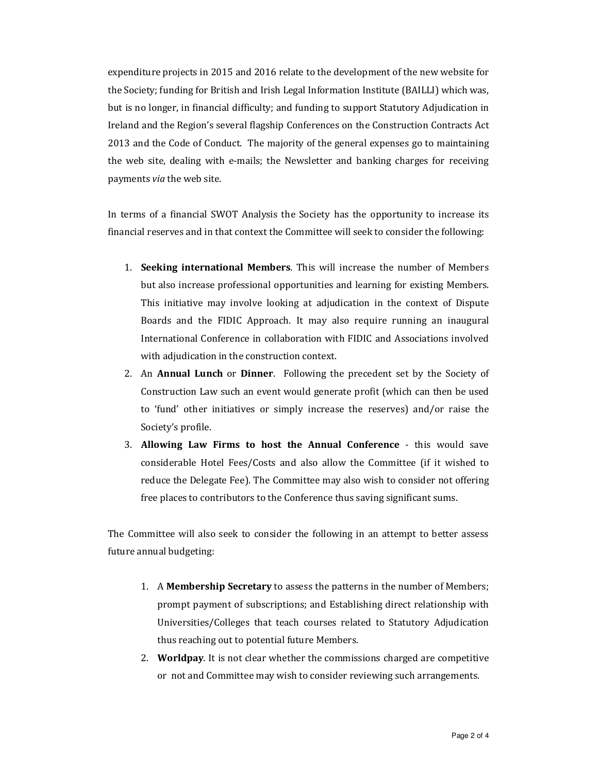expenditure projects in 2015 and 2016 relate to the development of the new website for the Society; funding for British and Irish Legal Information Institute (BAILLI) which was, but is no longer, in financial difficulty; and funding to support Statutory Adjudication in Ireland and the Region's several flagship Conferences on the Construction Contracts Act 2013 and the Code of Conduct. The majority of the general expenses go to maintaining the web site, dealing with e-mails; the Newsletter and banking charges for receiving payments *via* the web site.

In terms of a financial SWOT Analysis the Society has the opportunity to increase its financial reserves and in that context the Committee will seek to consider the following:

- 1. **Seeking international Members**. This will increase the number of Members but also increase professional opportunities and learning for existing Members. This initiative may involve looking at adjudication in the context of Dispute Boards and the FIDIC Approach. It may also require running an inaugural International Conference in collaboration with FIDIC and Associations involved with adjudication in the construction context.
- 2. An **Annual Lunch** or **Dinner**. Following the precedent set by the Society of Construction Law such an event would generate profit (which can then be used to 'fund' other initiatives or simply increase the reserves) and/or raise the Society's profile.
- 3. **Allowing Law Firms to host the Annual Conference** this would save considerable Hotel Fees/Costs and also allow the Committee (if it wished to reduce the Delegate Fee). The Committee may also wish to consider not offering free places to contributors to the Conference thus saving significant sums.

The Committee will also seek to consider the following in an attempt to better assess future annual budgeting:

- 1. A **Membership Secretary** to assess the patterns in the number of Members; prompt payment of subscriptions; and Establishing direct relationship with Universities/Colleges that teach courses related to Statutory Adjudication thus reaching out to potential future Members.
- 2. **Worldpay**. It is not clear whether the commissions charged are competitive or not and Committee may wish to consider reviewing such arrangements.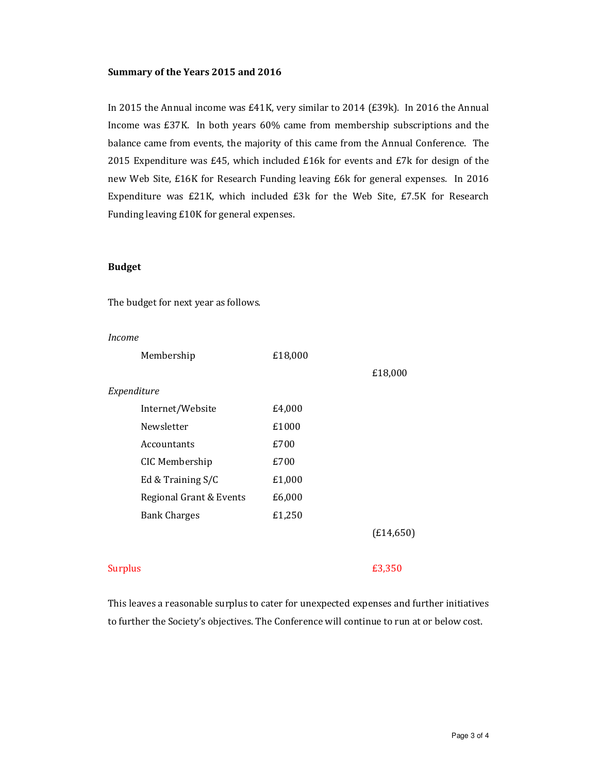#### **Summary of the Years 2015 and 2016**

In 2015 the Annual income was £41K, very similar to 2014 (£39k). In 2016 the Annual Income was £37K. In both years 60% came from membership subscriptions and the balance came from events, the majority of this came from the Annual Conference. The 2015 Expenditure was £45, which included £16k for events and £7k for design of the new Web Site, £16K for Research Funding leaving £6k for general expenses. In 2016 Expenditure was £21K, which included £3k for the Web Site, £7.5K for Research Funding leaving £10K for general expenses.

#### **Budget**

The budget for next year as follows.

*Income* 

|                | Membership              | £18,000 |            |
|----------------|-------------------------|---------|------------|
|                |                         |         | £18,000    |
| Expenditure    |                         |         |            |
|                | Internet/Website        | £4,000  |            |
|                | Newsletter              | £1000   |            |
|                | Accountants             | £700    |            |
|                | CIC Membership          | £700    |            |
|                | Ed & Training S/C       | £1,000  |            |
|                | Regional Grant & Events | £6,000  |            |
|                | <b>Bank Charges</b>     | £1,250  |            |
|                |                         |         | (E14, 650) |
| <b>Surplus</b> |                         |         | £3,350     |

This leaves a reasonable surplus to cater for unexpected expenses and further initiatives to further the Society's objectives. The Conference will continue to run at or below cost.